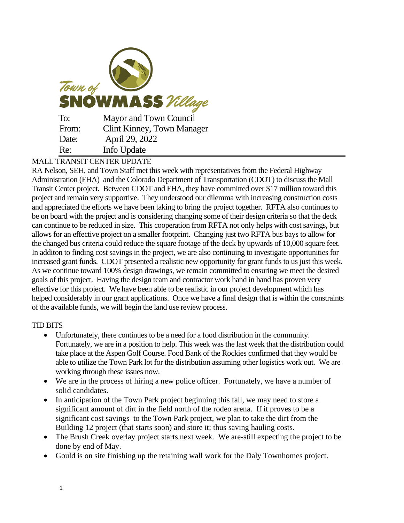

## MALL TRANSIT CENTER UPDATE

RA Nelson, SEH, and Town Staff met this week with representatives from the Federal Highway Administration (FHA) and the Colorado Department of Transportation (CDOT) to discuss the Mall Transit Center project. Between CDOT and FHA, they have committed over \$17 million toward this project and remain very supportive. They understood our dilemma with increasing construction costs and appreciated the efforts we have been taking to bring the project together. RFTA also continues to be on board with the project and is considering changing some of their design criteria so that the deck can continue to be reduced in size. This cooperation from RFTA not only helps with cost savings, but allows for an effective project on a smaller footprint. Changing just two RFTA bus bays to allow for the changed bus criteria could reduce the square footage of the deck by upwards of 10,000 square feet. In additon to finding cost savings in the project, we are also continuing to investigate opportunities for increased grant funds. CDOT presented a realistic new opportunity for grant funds to us just this week. As we continue toward 100% design drawings, we remain committed to ensuring we meet the desired goals of this project. Having the design team and contractor work hand in hand has proven very effective for this project. We have been able to be realistic in our project development which has helped considerably in our grant applications. Once we have a final design that is within the constraints of the available funds, we will begin the land use review process.

## TID BITS

- Unfortunately, there continues to be a need for a food distribution in the community. Fortunately, we are in a position to help. This week was the last week that the distribution could take place at the Aspen Golf Course. Food Bank of the Rockies confirmed that they would be able to utilize the Town Park lot for the distribution assuming other logistics work out. We are working through these issues now.
- We are in the process of hiring a new police officer. Fortunately, we have a number of solid candidates.
- In anticipation of the Town Park project beginning this fall, we may need to store a significant amount of dirt in the field north of the rodeo arena. If it proves to be a significant cost savings to the Town Park project, we plan to take the dirt from the Building 12 project (that starts soon) and store it; thus saving hauling costs.
- The Brush Creek overlay project starts next week. We are-still expecting the project to be done by end of May.
- Gould is on site finishing up the retaining wall work for the Daly Townhomes project.